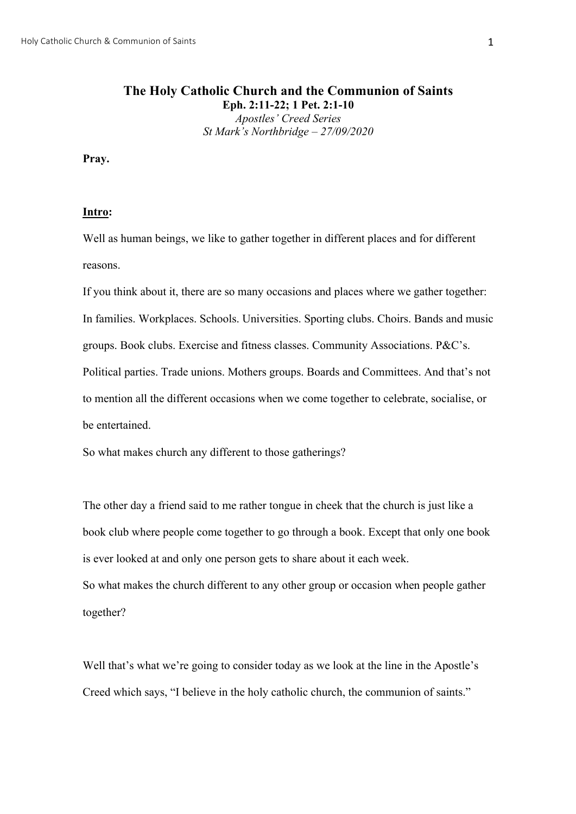# **The Holy Catholic Church and the Communion of Saints Eph. 2:11-22; 1 Pet. 2:1-10** *Apostles' Creed Series St Mark's Northbridge – 27/09/2020*

**Pray.**

### **Intro:**

Well as human beings, we like to gather together in different places and for different reasons.

If you think about it, there are so many occasions and places where we gather together: In families. Workplaces. Schools. Universities. Sporting clubs. Choirs. Bands and music groups. Book clubs. Exercise and fitness classes. Community Associations. P&C's. Political parties. Trade unions. Mothers groups. Boards and Committees. And that's not to mention all the different occasions when we come together to celebrate, socialise, or be entertained.

So what makes church any different to those gatherings?

The other day a friend said to me rather tongue in cheek that the church is just like a book club where people come together to go through a book. Except that only one book is ever looked at and only one person gets to share about it each week. So what makes the church different to any other group or occasion when people gather together?

Well that's what we're going to consider today as we look at the line in the Apostle's Creed which says, "I believe in the holy catholic church, the communion of saints."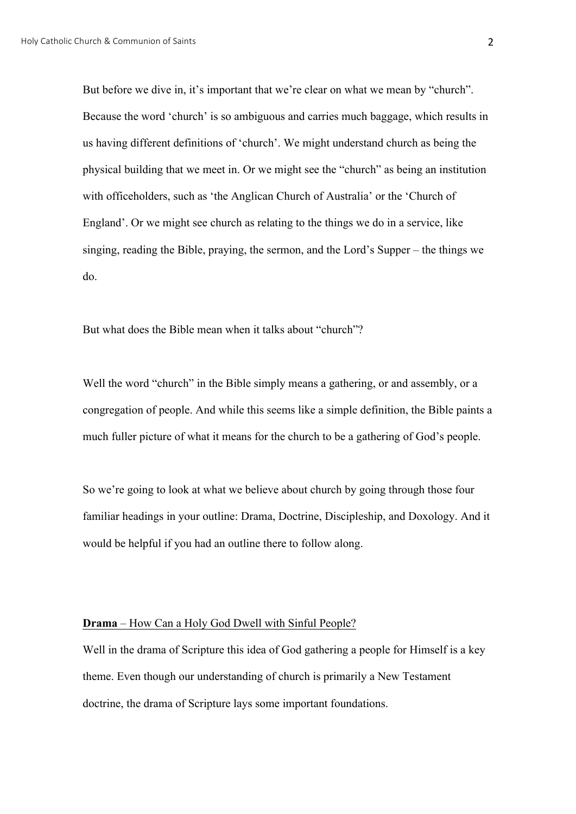But before we dive in, it's important that we're clear on what we mean by "church". Because the word 'church' is so ambiguous and carries much baggage, which results in us having different definitions of 'church'. We might understand church as being the physical building that we meet in. Or we might see the "church" as being an institution with officeholders, such as 'the Anglican Church of Australia' or the 'Church of England'. Or we might see church as relating to the things we do in a service, like singing, reading the Bible, praying, the sermon, and the Lord's Supper – the things we do.

But what does the Bible mean when it talks about "church"?

Well the word "church" in the Bible simply means a gathering, or and assembly, or a congregation of people. And while this seems like a simple definition, the Bible paints a much fuller picture of what it means for the church to be a gathering of God's people.

So we're going to look at what we believe about church by going through those four familiar headings in your outline: Drama, Doctrine, Discipleship, and Doxology. And it would be helpful if you had an outline there to follow along.

### **Drama** – How Can a Holy God Dwell with Sinful People?

Well in the drama of Scripture this idea of God gathering a people for Himself is a key theme. Even though our understanding of church is primarily a New Testament doctrine, the drama of Scripture lays some important foundations.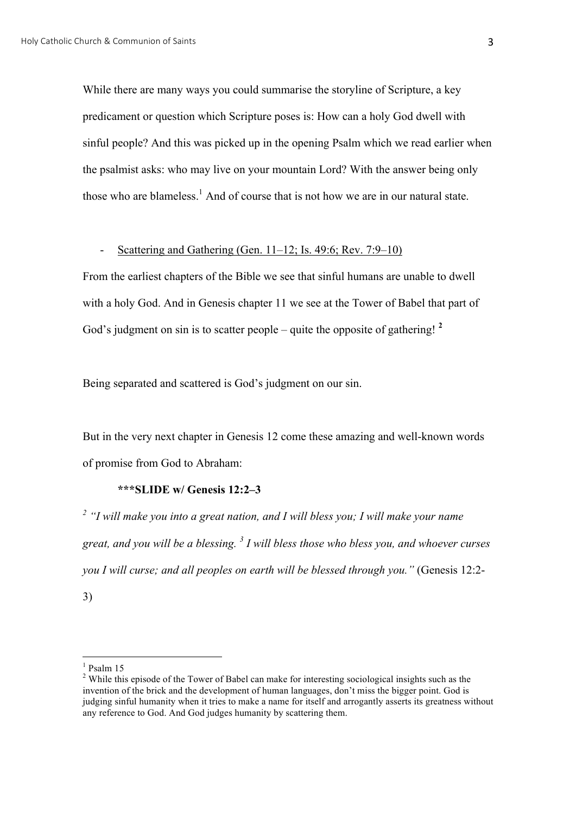While there are many ways you could summarise the storyline of Scripture, a key predicament or question which Scripture poses is: How can a holy God dwell with sinful people? And this was picked up in the opening Psalm which we read earlier when the psalmist asks: who may live on your mountain Lord? With the answer being only those who are blameless.<sup>1</sup> And of course that is not how we are in our natural state.

## - Scattering and Gathering (Gen. 11–12; Is. 49:6; Rev. 7:9–10)

From the earliest chapters of the Bible we see that sinful humans are unable to dwell with a holy God. And in Genesis chapter 11 we see at the Tower of Babel that part of God's judgment on sin is to scatter people – quite the opposite of gathering! **<sup>2</sup>**

Being separated and scattered is God's judgment on our sin.

But in the very next chapter in Genesis 12 come these amazing and well-known words of promise from God to Abraham:

# **\*\*\*SLIDE w/ Genesis 12:2–3**

*<sup>2</sup> "I will make you into a great nation, and I will bless you; I will make your name great, and you will be a blessing. <sup>3</sup> I will bless those who bless you, and whoever curses you I will curse; and all peoples on earth will be blessed through you."* (Genesis 12:2- 3)

 $1$  Psalm 15

<sup>&</sup>lt;sup>2</sup> While this episode of the Tower of Babel can make for interesting sociological insights such as the invention of the brick and the development of human languages, don't miss the bigger point. God is judging sinful humanity when it tries to make a name for itself and arrogantly asserts its greatness without any reference to God. And God judges humanity by scattering them.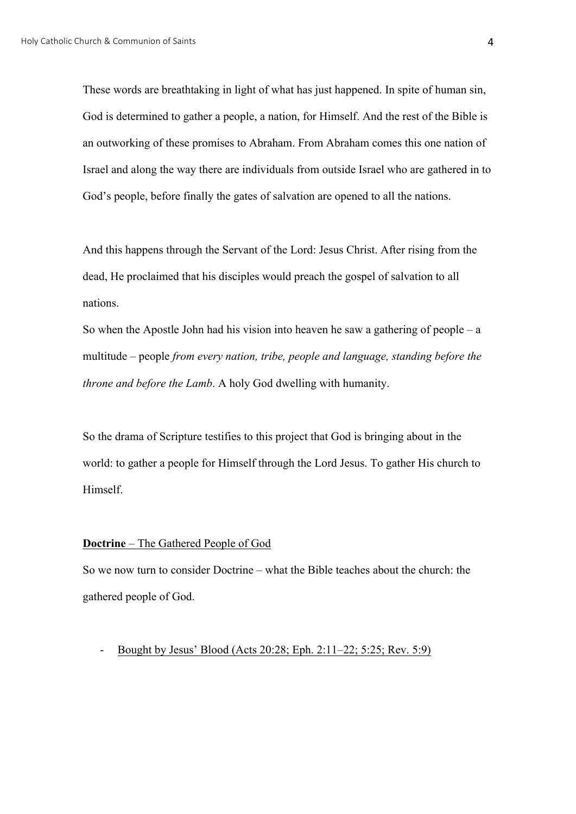These words are breathtaking in light of what has just happened. In spite of human sin, God is determined to gather a people, a nation, for Himself. And the rest of the Bible is an outworking of these promises to Abraham. From Abraham comes this one nation of Israel and along the way there are individuals from outside Israel who are gathered in to God's people, before finally the gates of salvation are opened to all the nations.

And this happens through the Servant of the Lord: Jesus Christ. After rising from the dead, He proclaimed that his disciples would preach the gospel of salvation to all nations.

So when the Apostle John had his vision into heaven he saw a gathering of people – a multitude – people *from every nation, tribe, people and language, standing before the throne and before the Lamb*. A holy God dwelling with humanity.

So the drama of Scripture testifies to this project that God is bringing about in the world: to gather a people for Himself through the Lord Jesus. To gather His church to Himself.

#### **Doctrine** – The Gathered People of God

So we now turn to consider Doctrine – what the Bible teaches about the church: the gathered people of God.

- Bought by Jesus' Blood (Acts 20:28; Eph. 2:11–22; 5:25; Rev. 5:9)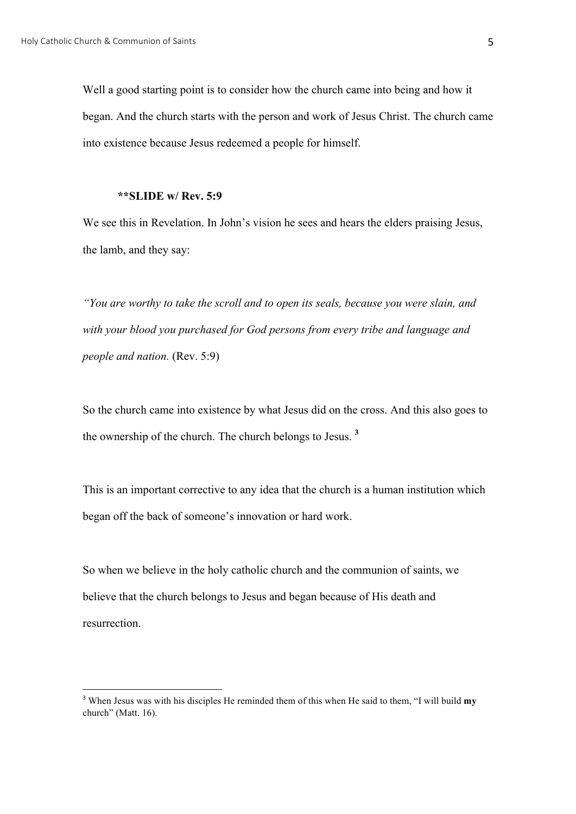Well a good starting point is to consider how the church came into being and how it began. And the church starts with the person and work of Jesus Christ. The church came into existence because Jesus redeemed a people for himself.

### **\*\*SLIDE w/ Rev. 5:9**

We see this in Revelation. In John's vision he sees and hears the elders praising Jesus, the lamb, and they say:

*"You are worthy to take the scroll and to open its seals, because you were slain, and with your blood you purchased for God persons from every tribe and language and people and nation.* (Rev. 5:9)

So the church came into existence by what Jesus did on the cross. And this also goes to the ownership of the church. The church belongs to Jesus. **<sup>3</sup>**

This is an important corrective to any idea that the church is a human institution which began off the back of someone's innovation or hard work.

So when we believe in the holy catholic church and the communion of saints, we believe that the church belongs to Jesus and began because of His death and resurrection.

 <sup>3</sup> When Jesus was with his disciples He reminded them of this when He said to them, "I will build **my** church" (Matt. 16).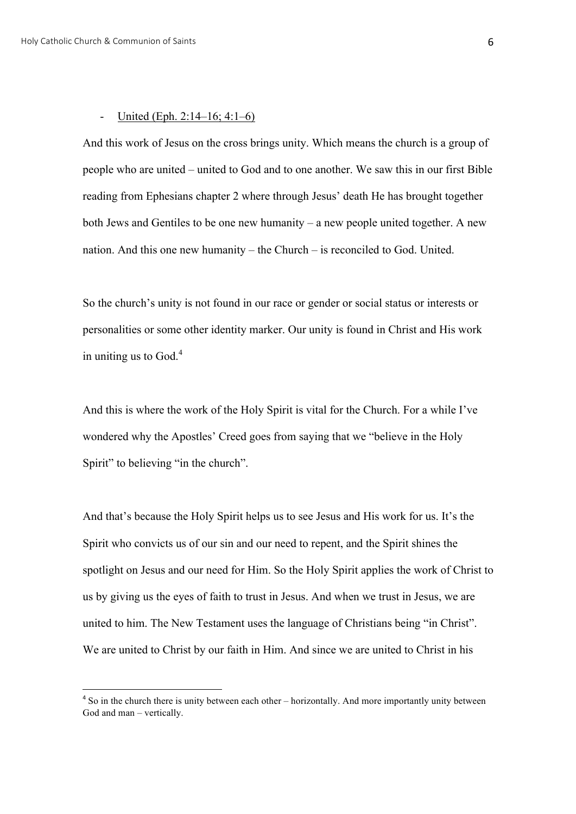### - United (Eph. 2:14–16; 4:1–6)

And this work of Jesus on the cross brings unity. Which means the church is a group of people who are united – united to God and to one another. We saw this in our first Bible reading from Ephesians chapter 2 where through Jesus' death He has brought together both Jews and Gentiles to be one new humanity – a new people united together. A new nation. And this one new humanity – the Church – is reconciled to God. United.

So the church's unity is not found in our race or gender or social status or interests or personalities or some other identity marker. Our unity is found in Christ and His work in uniting us to  $God<sup>4</sup>$ .

And this is where the work of the Holy Spirit is vital for the Church. For a while I've wondered why the Apostles' Creed goes from saying that we "believe in the Holy Spirit" to believing "in the church".

And that's because the Holy Spirit helps us to see Jesus and His work for us. It's the Spirit who convicts us of our sin and our need to repent, and the Spirit shines the spotlight on Jesus and our need for Him. So the Holy Spirit applies the work of Christ to us by giving us the eyes of faith to trust in Jesus. And when we trust in Jesus, we are united to him. The New Testament uses the language of Christians being "in Christ". We are united to Christ by our faith in Him. And since we are united to Christ in his

<sup>&</sup>lt;sup>4</sup> So in the church there is unity between each other – horizontally. And more importantly unity between God and man – vertically.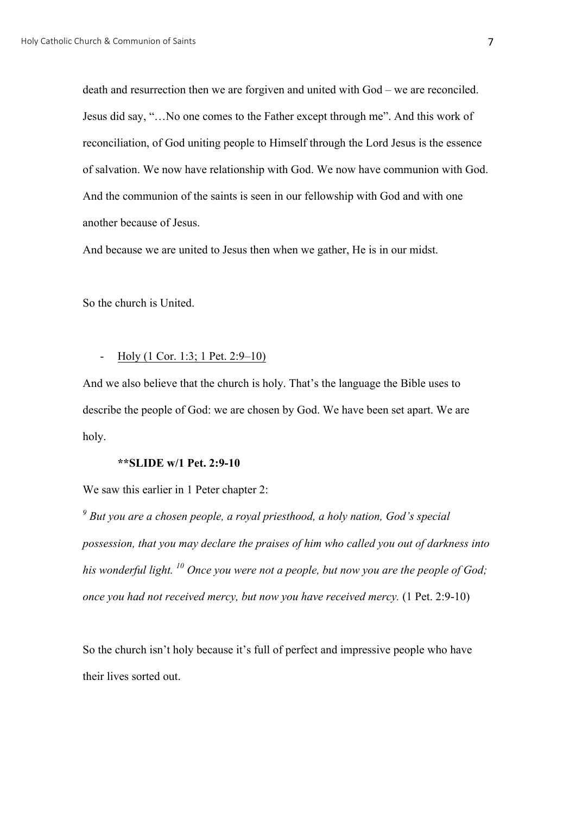death and resurrection then we are forgiven and united with God – we are reconciled. Jesus did say, "…No one comes to the Father except through me". And this work of reconciliation, of God uniting people to Himself through the Lord Jesus is the essence of salvation. We now have relationship with God. We now have communion with God. And the communion of the saints is seen in our fellowship with God and with one another because of Jesus.

And because we are united to Jesus then when we gather, He is in our midst.

So the church is United.

# - Holy (1 Cor. 1:3; 1 Pet. 2:9–10)

And we also believe that the church is holy. That's the language the Bible uses to describe the people of God: we are chosen by God. We have been set apart. We are holy.

### **\*\*SLIDE w/1 Pet. 2:9-10**

We saw this earlier in 1 Peter chapter 2:

*<sup>9</sup> But you are a chosen people, a royal priesthood, a holy nation, God's special possession, that you may declare the praises of him who called you out of darkness into his wonderful light. <sup>10</sup> Once you were not a people, but now you are the people of God; once you had not received mercy, but now you have received mercy.* (1 Pet. 2:9-10)

So the church isn't holy because it's full of perfect and impressive people who have their lives sorted out.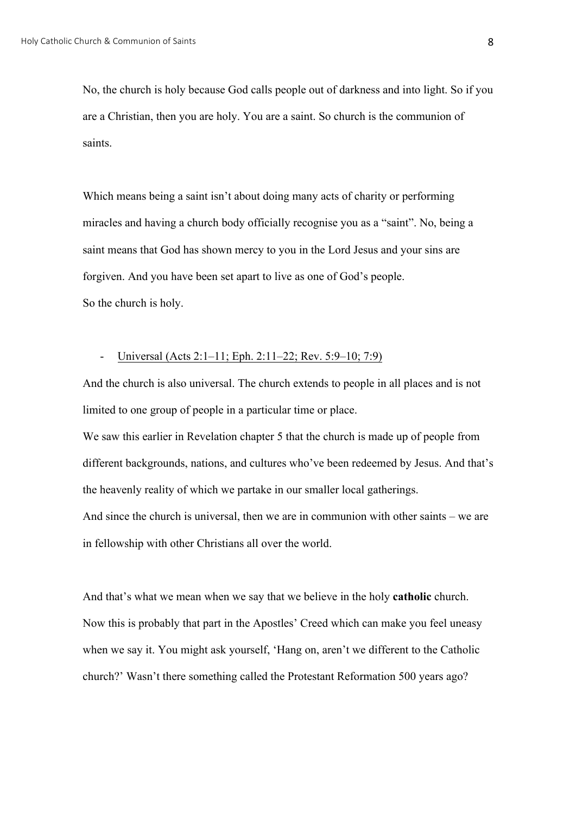No, the church is holy because God calls people out of darkness and into light. So if you are a Christian, then you are holy. You are a saint. So church is the communion of saints.

Which means being a saint isn't about doing many acts of charity or performing miracles and having a church body officially recognise you as a "saint". No, being a saint means that God has shown mercy to you in the Lord Jesus and your sins are forgiven. And you have been set apart to live as one of God's people. So the church is holy.

### - Universal (Acts 2:1–11; Eph. 2:11–22; Rev. 5:9–10; 7:9)

And the church is also universal. The church extends to people in all places and is not limited to one group of people in a particular time or place.

We saw this earlier in Revelation chapter 5 that the church is made up of people from different backgrounds, nations, and cultures who've been redeemed by Jesus. And that's the heavenly reality of which we partake in our smaller local gatherings. And since the church is universal, then we are in communion with other saints – we are in fellowship with other Christians all over the world.

And that's what we mean when we say that we believe in the holy **catholic** church. Now this is probably that part in the Apostles' Creed which can make you feel uneasy when we say it. You might ask yourself, 'Hang on, aren't we different to the Catholic church?' Wasn't there something called the Protestant Reformation 500 years ago?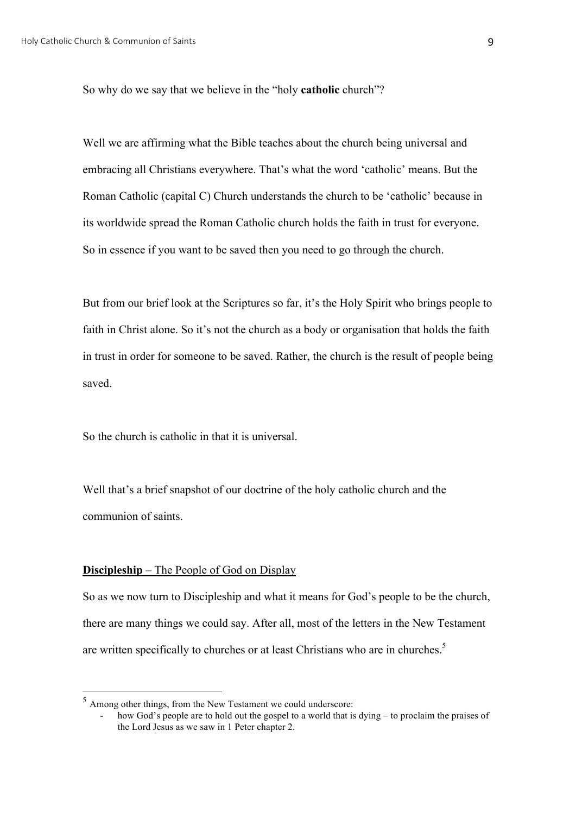So why do we say that we believe in the "holy **catholic** church"?

Well we are affirming what the Bible teaches about the church being universal and embracing all Christians everywhere. That's what the word 'catholic' means. But the Roman Catholic (capital C) Church understands the church to be 'catholic' because in its worldwide spread the Roman Catholic church holds the faith in trust for everyone. So in essence if you want to be saved then you need to go through the church.

But from our brief look at the Scriptures so far, it's the Holy Spirit who brings people to faith in Christ alone. So it's not the church as a body or organisation that holds the faith in trust in order for someone to be saved. Rather, the church is the result of people being saved.

So the church is catholic in that it is universal.

Well that's a brief snapshot of our doctrine of the holy catholic church and the communion of saints.

#### **Discipleship** – The People of God on Display

So as we now turn to Discipleship and what it means for God's people to be the church, there are many things we could say. After all, most of the letters in the New Testament are written specifically to churches or at least Christians who are in churches.<sup>5</sup>

 <sup>5</sup> Among other things, from the New Testament we could underscore:

how God's people are to hold out the gospel to a world that is dying – to proclaim the praises of the Lord Jesus as we saw in 1 Peter chapter 2.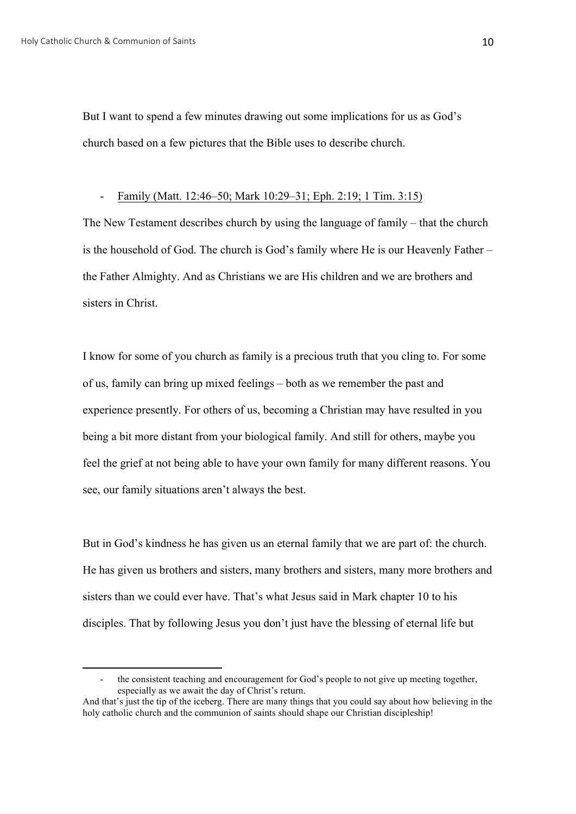But I want to spend a few minutes drawing out some implications for us as God's church based on a few pictures that the Bible uses to describe church.

# - Family (Matt. 12:46–50; Mark 10:29–31; Eph. 2:19; 1 Tim. 3:15)

The New Testament describes church by using the language of family – that the church is the household of God. The church is God's family where He is our Heavenly Father – the Father Almighty. And as Christians we are His children and we are brothers and sisters in Christ.

I know for some of you church as family is a precious truth that you cling to. For some of us, family can bring up mixed feelings – both as we remember the past and experience presently. For others of us, becoming a Christian may have resulted in you being a bit more distant from your biological family. And still for others, maybe you feel the grief at not being able to have your own family for many different reasons. You see, our family situations aren't always the best.

But in God's kindness he has given us an eternal family that we are part of: the church. He has given us brothers and sisters, many brothers and sisters, many more brothers and sisters than we could ever have. That's what Jesus said in Mark chapter 10 to his disciples. That by following Jesus you don't just have the blessing of eternal life but

 

the consistent teaching and encouragement for God's people to not give up meeting together, especially as we await the day of Christ's return.

And that's just the tip of the iceberg. There are many things that you could say about how believing in the holy catholic church and the communion of saints should shape our Christian discipleship!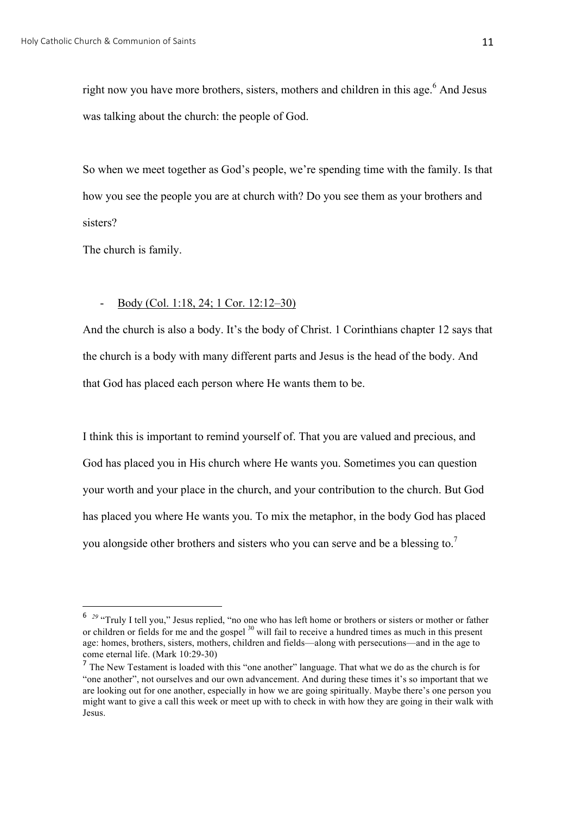right now you have more brothers, sisters, mothers and children in this age.<sup>6</sup> And Jesus was talking about the church: the people of God.

So when we meet together as God's people, we're spending time with the family. Is that how you see the people you are at church with? Do you see them as your brothers and sisters?

The church is family.

 

# - Body (Col. 1:18, 24; 1 Cor. 12:12–30)

And the church is also a body. It's the body of Christ. 1 Corinthians chapter 12 says that the church is a body with many different parts and Jesus is the head of the body. And that God has placed each person where He wants them to be.

I think this is important to remind yourself of. That you are valued and precious, and God has placed you in His church where He wants you. Sometimes you can question your worth and your place in the church, and your contribution to the church. But God has placed you where He wants you. To mix the metaphor, in the body God has placed you alongside other brothers and sisters who you can serve and be a blessing to.<sup>7</sup>

<sup>&</sup>lt;sup>6</sup> <sup>29</sup> "Truly I tell you," Jesus replied, "no one who has left home or brothers or sisters or mother or father or children or fields for me and the gospel <sup>30</sup> will fail to receive a hundred times as much in this present age: homes, brothers, sisters, mothers, children and fields—along with persecutions—and in the age to come eternal life. (Mark 10:29-30)

<sup>&</sup>lt;sup>7</sup> The New Testament is loaded with this "one another" language. That what we do as the church is for "one another", not ourselves and our own advancement. And during these times it's so important that we are looking out for one another, especially in how we are going spiritually. Maybe there's one person you might want to give a call this week or meet up with to check in with how they are going in their walk with Jesus.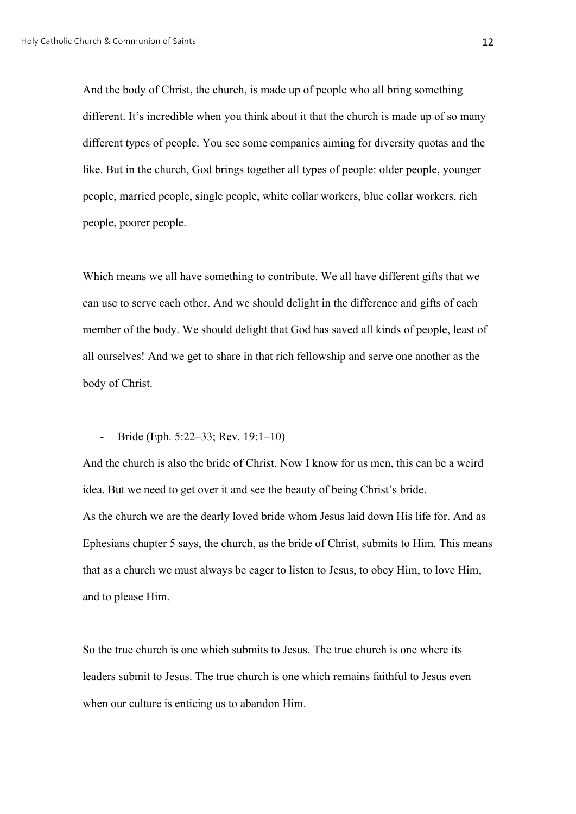And the body of Christ, the church, is made up of people who all bring something different. It's incredible when you think about it that the church is made up of so many different types of people. You see some companies aiming for diversity quotas and the like. But in the church, God brings together all types of people: older people, younger people, married people, single people, white collar workers, blue collar workers, rich people, poorer people.

Which means we all have something to contribute. We all have different gifts that we can use to serve each other. And we should delight in the difference and gifts of each member of the body. We should delight that God has saved all kinds of people, least of all ourselves! And we get to share in that rich fellowship and serve one another as the body of Christ.

#### Bride (Eph. 5:22–33; Rev. 19:1–10)

And the church is also the bride of Christ. Now I know for us men, this can be a weird idea. But we need to get over it and see the beauty of being Christ's bride. As the church we are the dearly loved bride whom Jesus laid down His life for. And as Ephesians chapter 5 says, the church, as the bride of Christ, submits to Him. This means that as a church we must always be eager to listen to Jesus, to obey Him, to love Him, and to please Him.

So the true church is one which submits to Jesus. The true church is one where its leaders submit to Jesus. The true church is one which remains faithful to Jesus even when our culture is enticing us to abandon Him.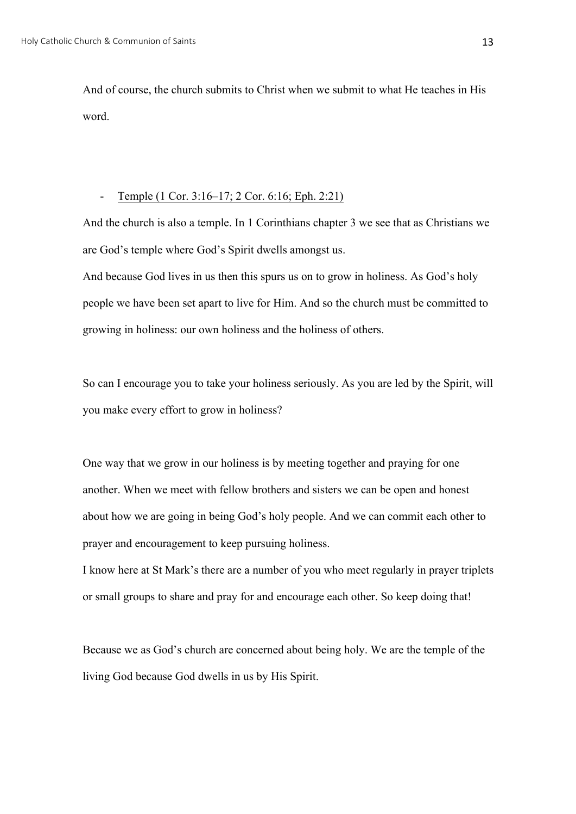And of course, the church submits to Christ when we submit to what He teaches in His word.

## - Temple (1 Cor. 3:16–17; 2 Cor. 6:16; Eph. 2:21)

And the church is also a temple. In 1 Corinthians chapter 3 we see that as Christians we are God's temple where God's Spirit dwells amongst us.

And because God lives in us then this spurs us on to grow in holiness. As God's holy people we have been set apart to live for Him. And so the church must be committed to growing in holiness: our own holiness and the holiness of others.

So can I encourage you to take your holiness seriously. As you are led by the Spirit, will you make every effort to grow in holiness?

One way that we grow in our holiness is by meeting together and praying for one another. When we meet with fellow brothers and sisters we can be open and honest about how we are going in being God's holy people. And we can commit each other to prayer and encouragement to keep pursuing holiness.

I know here at St Mark's there are a number of you who meet regularly in prayer triplets or small groups to share and pray for and encourage each other. So keep doing that!

Because we as God's church are concerned about being holy. We are the temple of the living God because God dwells in us by His Spirit.